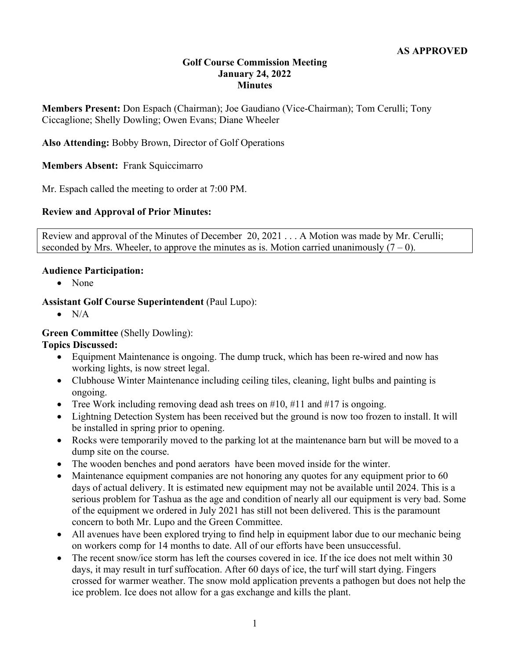### **Golf Course Commission Meeting January 24, 2022 Minutes**

**Members Present:** Don Espach (Chairman); Joe Gaudiano (Vice-Chairman); Tom Cerulli; Tony Ciccaglione; Shelly Dowling; Owen Evans; Diane Wheeler

**Also Attending:** Bobby Brown, Director of Golf Operations

**Members Absent:** Frank Squiccimarro

Mr. Espach called the meeting to order at 7:00 PM.

### **Review and Approval of Prior Minutes:**

Review and approval of the Minutes of December 20, 2021 . . . A Motion was made by Mr. Cerulli; seconded by Mrs. Wheeler, to approve the minutes as is. Motion carried unanimously  $(7 - 0)$ .

#### **Audience Participation:**

• None

## **Assistant Golf Course Superintendent** (Paul Lupo):

 $\bullet$  N/A

### **Green Committee** (Shelly Dowling):

### **Topics Discussed:**

- Equipment Maintenance is ongoing. The dump truck, which has been re-wired and now has working lights, is now street legal.
- Clubhouse Winter Maintenance including ceiling tiles, cleaning, light bulbs and painting is ongoing.
- Tree Work including removing dead ash trees on  $\#10$ ,  $\#11$  and  $\#17$  is ongoing.
- Lightning Detection System has been received but the ground is now too frozen to install. It will be installed in spring prior to opening.
- Rocks were temporarily moved to the parking lot at the maintenance barn but will be moved to a dump site on the course.
- The wooden benches and pond aerators have been moved inside for the winter.
- Maintenance equipment companies are not honoring any quotes for any equipment prior to 60 days of actual delivery. It is estimated new equipment may not be available until 2024. This is a serious problem for Tashua as the age and condition of nearly all our equipment is very bad. Some of the equipment we ordered in July 2021 has still not been delivered. This is the paramount concern to both Mr. Lupo and the Green Committee.
- All avenues have been explored trying to find help in equipment labor due to our mechanic being on workers comp for 14 months to date. All of our efforts have been unsuccessful.
- The recent snow/ice storm has left the courses covered in ice. If the ice does not melt within 30 days, it may result in turf suffocation. After 60 days of ice, the turf will start dying. Fingers crossed for warmer weather. The snow mold application prevents a pathogen but does not help the ice problem. Ice does not allow for a gas exchange and kills the plant.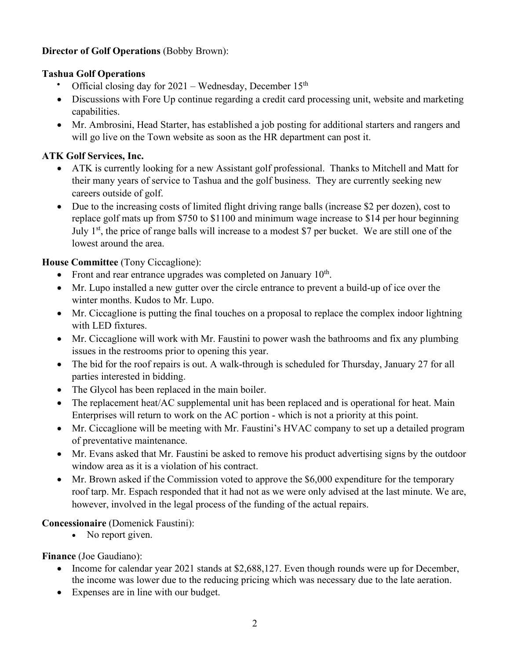# **Director of Golf Operations** (Bobby Brown):

## **Tashua Golf Operations**

- Official closing day for  $2021 -$  Wednesday, December  $15<sup>th</sup>$
- Discussions with Fore Up continue regarding a credit card processing unit, website and marketing capabilities.
- Mr. Ambrosini, Head Starter, has established a job posting for additional starters and rangers and will go live on the Town website as soon as the HR department can post it.

# **ATK Golf Services, Inc.**

- ATK is currently looking for a new Assistant golf professional. Thanks to Mitchell and Matt for their many years of service to Tashua and the golf business. They are currently seeking new careers outside of golf.
- Due to the increasing costs of limited flight driving range balls (increase \$2 per dozen), cost to replace golf mats up from \$750 to \$1100 and minimum wage increase to \$14 per hour beginning July 1<sup>st</sup>, the price of range balls will increase to a modest \$7 per bucket. We are still one of the lowest around the area.

# **House Committee** (Tony Ciccaglione):

- Front and rear entrance upgrades was completed on January  $10<sup>th</sup>$ .
- Mr. Lupo installed a new gutter over the circle entrance to prevent a build-up of ice over the winter months. Kudos to Mr. Lupo.
- Mr. Ciccaglione is putting the final touches on a proposal to replace the complex indoor lightning with LED fixtures.
- Mr. Ciccaglione will work with Mr. Faustini to power wash the bathrooms and fix any plumbing issues in the restrooms prior to opening this year.
- The bid for the roof repairs is out. A walk-through is scheduled for Thursday, January 27 for all parties interested in bidding.
- The Glycol has been replaced in the main boiler.
- The replacement heat/AC supplemental unit has been replaced and is operational for heat. Main Enterprises will return to work on the AC portion - which is not a priority at this point.
- Mr. Ciccaglione will be meeting with Mr. Faustini's HVAC company to set up a detailed program of preventative maintenance.
- Mr. Evans asked that Mr. Faustini be asked to remove his product advertising signs by the outdoor window area as it is a violation of his contract.
- Mr. Brown asked if the Commission voted to approve the \$6,000 expenditure for the temporary roof tarp. Mr. Espach responded that it had not as we were only advised at the last minute. We are, however, involved in the legal process of the funding of the actual repairs.

## **Concessionaire** (Domenick Faustini):

• No report given.

# **Finance** (Joe Gaudiano):

- Income for calendar year 2021 stands at \$2,688,127. Even though rounds were up for December, the income was lower due to the reducing pricing which was necessary due to the late aeration.
- Expenses are in line with our budget.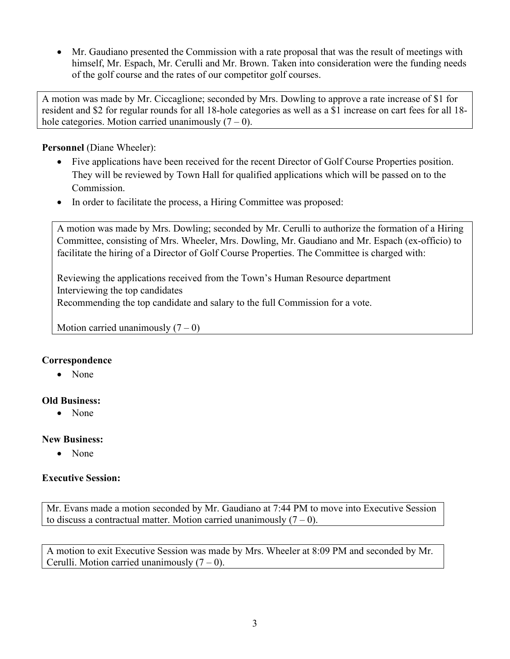• Mr. Gaudiano presented the Commission with a rate proposal that was the result of meetings with himself, Mr. Espach, Mr. Cerulli and Mr. Brown. Taken into consideration were the funding needs of the golf course and the rates of our competitor golf courses.

A motion was made by Mr. Ciccaglione; seconded by Mrs. Dowling to approve a rate increase of \$1 for resident and \$2 for regular rounds for all 18-hole categories as well as a \$1 increase on cart fees for all 18 hole categories. Motion carried unanimously  $(7 - 0)$ .

### **Personnel** (Diane Wheeler):

- Five applications have been received for the recent Director of Golf Course Properties position. They will be reviewed by Town Hall for qualified applications which will be passed on to the Commission.
- In order to facilitate the process, a Hiring Committee was proposed:

A motion was made by Mrs. Dowling; seconded by Mr. Cerulli to authorize the formation of a Hiring Committee, consisting of Mrs. Wheeler, Mrs. Dowling, Mr. Gaudiano and Mr. Espach (ex-officio) to facilitate the hiring of a Director of Golf Course Properties. The Committee is charged with:

Reviewing the applications received from the Town's Human Resource department Interviewing the top candidates Recommending the top candidate and salary to the full Commission for a vote.

Motion carried unanimously  $(7 – 0)$ 

## **Correspondence**

• None

## **Old Business:**

• None

### **New Business:**

• None

## **Executive Session:**

Mr. Evans made a motion seconded by Mr. Gaudiano at 7:44 PM to move into Executive Session to discuss a contractual matter. Motion carried unanimously  $(7 - 0)$ .

A motion to exit Executive Session was made by Mrs. Wheeler at 8:09 PM and seconded by Mr. Cerulli. Motion carried unanimously  $(7 – 0)$ .